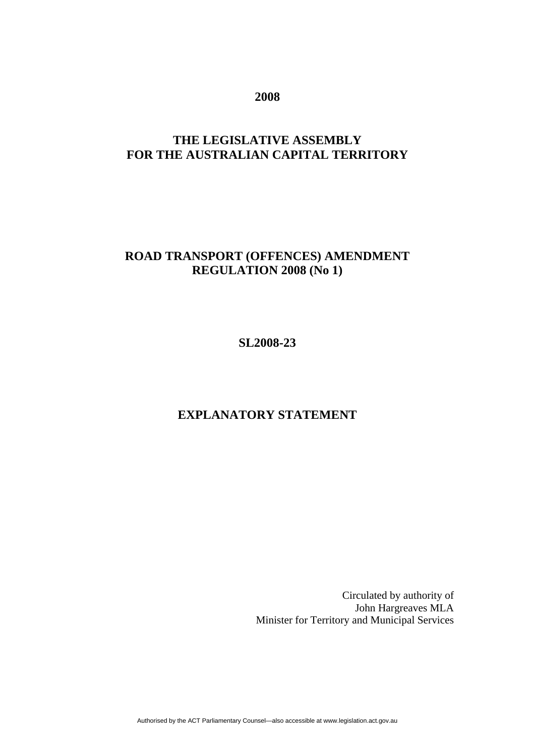**2008** 

### **THE LEGISLATIVE ASSEMBLY FOR THE AUSTRALIAN CAPITAL TERRITORY**

### **ROAD TRANSPORT (OFFENCES) AMENDMENT REGULATION 2008 (No 1)**

**SL2008-23** 

#### **EXPLANATORY STATEMENT**

 Circulated by authority of John Hargreaves MLA Minister for Territory and Municipal Services